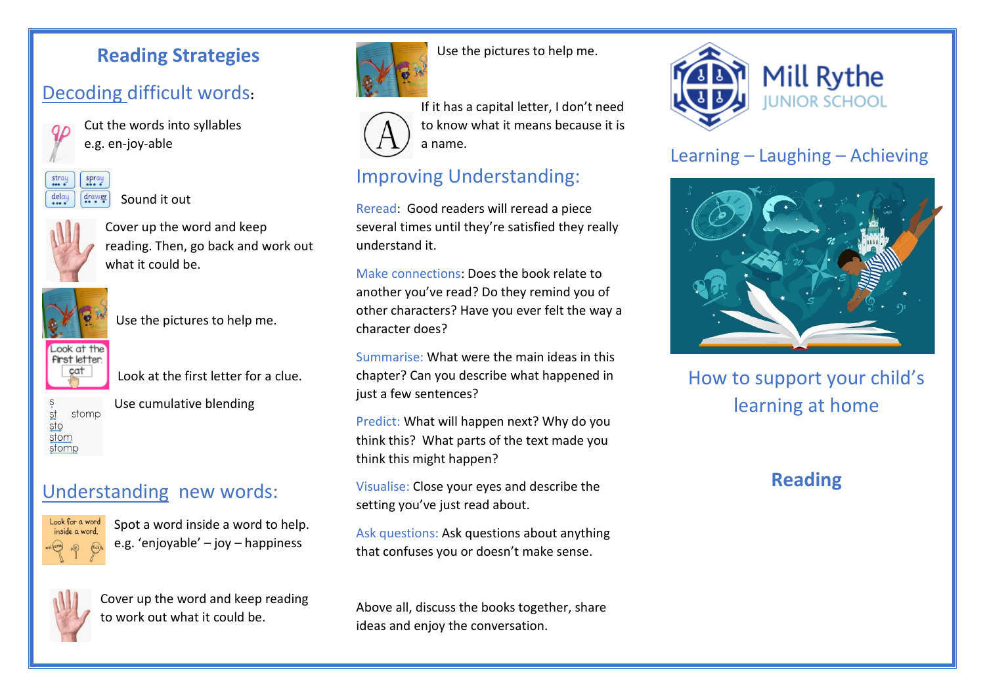#### **Reading Strategies**

# Decoding difficult words**:**



Cut the words into syllables e.g. en-joy-able



Sound it out



Cover up the word and keep reading. Then, go back and work out what it could be.



Use the pictures to help me.



Look at the first letter for a clue.



Use cumulative blending

### Understanding new words:



Spot a word inside a word to help. e.g. 'enjoyable' – joy – happiness



Cover up the word and keep reading to work out what it could be.



Use the pictures to help me.



If it has a capital letter, I don't need to know what it means because it is a name.

## Improving Understanding:

Reread: Good readers will reread a piece several times until they're satisfied they really understand it.

Make connections: Does the book relate to another you've read? Do they remind you of other characters? Have you ever felt the way a character does?

Summarise: What were the main ideas in this chapter? Can you describe what happened in just a few sentences?

Predict: What will happen next? Why do you think this? What parts of the text made you think this might happen?

Visualise: Close your eyes and describe the setting you've just read about.

Ask questions: Ask questions about anything that confuses you or doesn't make sense.

Above all, discuss the books together, share ideas and enjoy the conversation.



### Learning – Laughing – Achieving



How to support your child's learning at home

### **Reading**